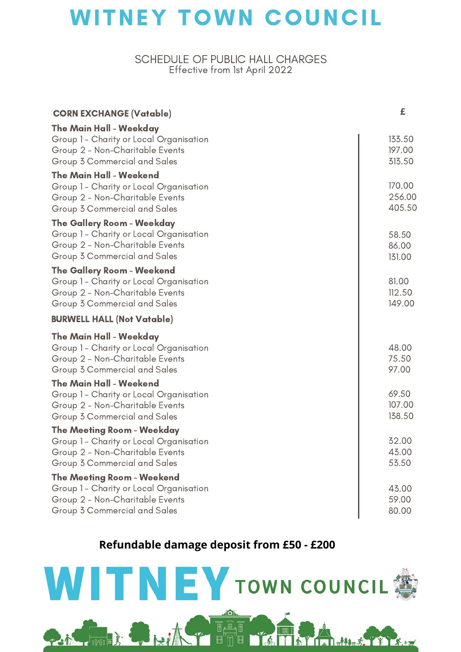# **WITNEY TOWN COUNCIL**

### SCHEDULE OF PUBLIC HALL CHARGES Effective from 1st April 2022

| <b>CORN EXCHANGE (Vatable)</b>                                             | £                |
|----------------------------------------------------------------------------|------------------|
| The Main Hall - Weekday                                                    |                  |
| Group 1 - Charity or Local Organisation                                    | 133.50           |
| Group 2 - Non-Charitable Events                                            | 197.00           |
| Group 3 Commercial and Sales                                               | 313.50           |
| <b>The Main Hall - Weekend</b>                                             |                  |
| Group 1 - Charity or Local Organisation<br>Group 2 - Non-Charitable Events | 170.00<br>256.00 |
| Group 3 Commercial and Sales                                               | 405.50           |
| The Gallery Room - Weekday                                                 |                  |
| Group 1 - Charity or Local Organisation                                    | 58.50            |
| Group 2 - Non-Charitable Events                                            | 86.00            |
| Group 3 Commercial and Sales                                               | 131.00           |
| <b>The Gallery Room - Weekend</b>                                          |                  |
| Group 1 - Charity or Local Organisation                                    | 81.00            |
| Group 2 - Non-Charitable Events                                            | 112.50           |
| Group 3 Commercial and Sales                                               | 149.00           |
| <b>BURWELL HALL (Not Vatable)</b>                                          |                  |
| <b>The Main Hall - Weekday</b>                                             |                  |
| Group 1 - Charity or Local Organisation                                    | 48.00            |
| Group 2 - Non-Charitable Events                                            | 75.50            |
| Group 3 Commercial and Sales                                               | 97.00            |
| <b>The Main Hall - Weekend</b>                                             | 69.50            |
| Group 1 - Charity or Local Organisation<br>Group 2 - Non-Charitable Events | 107.00           |
| Group 3 Commercial and Sales                                               | 138.50           |
| <b>The Meeting Room - Weekday</b>                                          |                  |
| Group 1 - Charity or Local Organisation                                    | 32.00            |
| Group 2 - Non-Charitable Events                                            | 43.00            |
| Group 3 Commercial and Sales                                               | 53.50            |
| <b>The Meeting Room - Weekend</b>                                          |                  |
| Group 1 - Charity or Local Organisation                                    | 43.00            |
| Group 2 - Non-Charitable Events<br>Group 3 Commercial and Sales            | 59.00<br>80.00   |
|                                                                            |                  |

## **Refundable damage deposit from £50 - £200**